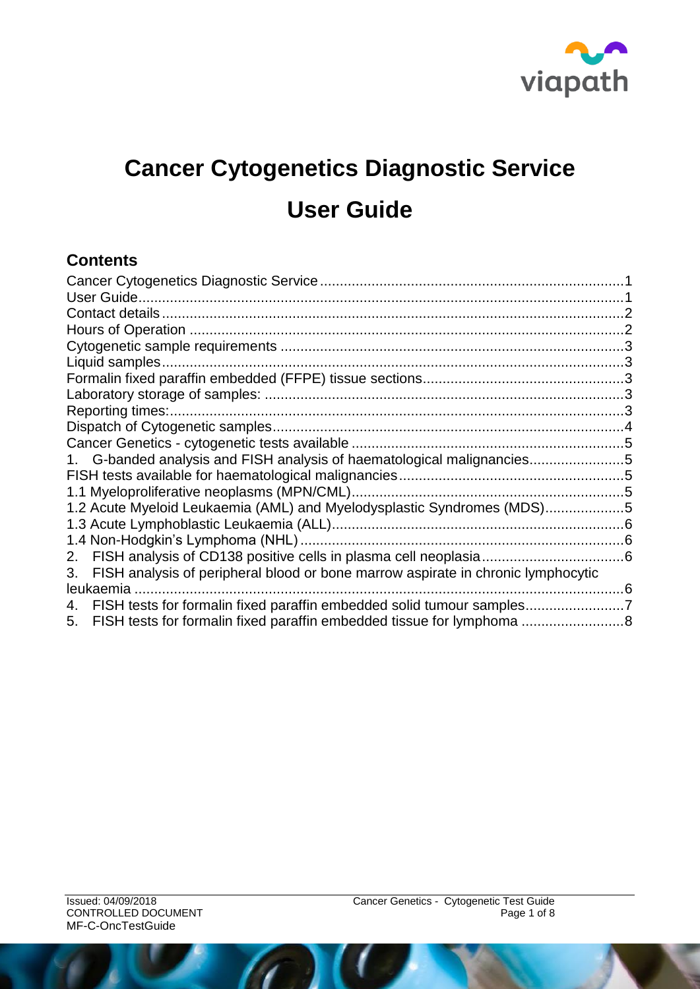

# <span id="page-0-0"></span>**Cancer Cytogenetics Diagnostic Service User Guide**

#### <span id="page-0-1"></span>**Contents**

| Reporting times:.                                                                      |  |
|----------------------------------------------------------------------------------------|--|
|                                                                                        |  |
|                                                                                        |  |
| 1. G-banded analysis and FISH analysis of haematological malignancies5                 |  |
|                                                                                        |  |
|                                                                                        |  |
| 1.2 Acute Myeloid Leukaemia (AML) and Myelodysplastic Syndromes (MDS)5                 |  |
|                                                                                        |  |
|                                                                                        |  |
| 2.                                                                                     |  |
| FISH analysis of peripheral blood or bone marrow aspirate in chronic lymphocytic<br>3. |  |
| leukaemia                                                                              |  |
| FISH tests for formalin fixed paraffin embedded solid tumour samples<br>4.             |  |
| 5.                                                                                     |  |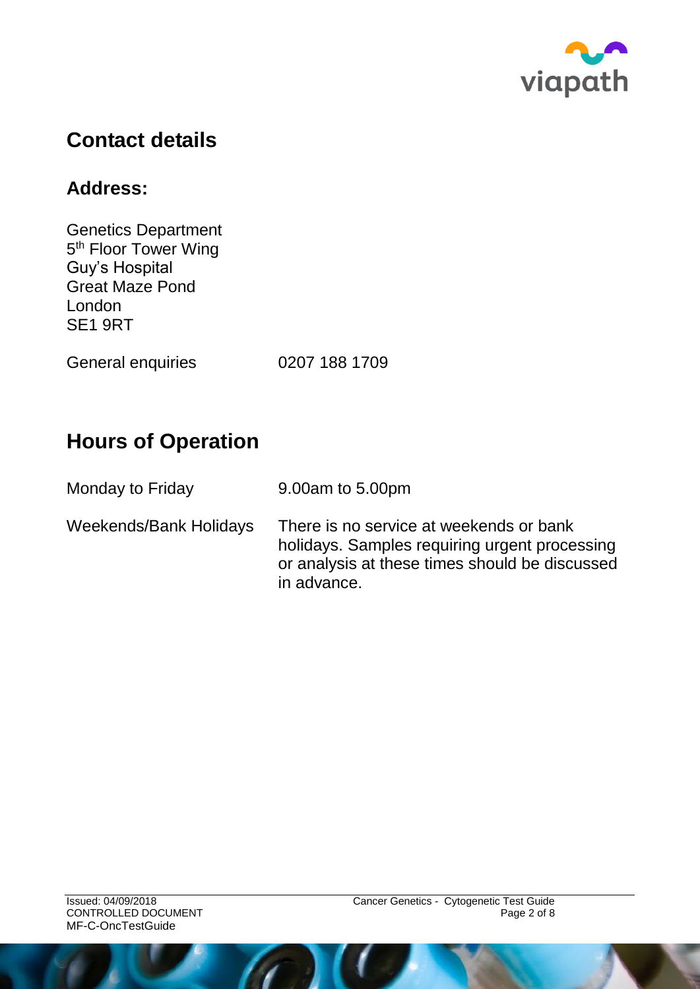

# <span id="page-1-0"></span>**Contact details**

### **Address:**

Genetics Department 5<sup>th</sup> Floor Tower Wing Guy's Hospital Great Maze Pond London SE1 9RT

General enquiries 0207 188 1709

# <span id="page-1-1"></span>**Hours of Operation**

| Monday to Friday       | 9.00am to 5.00pm                                                                                                                                          |
|------------------------|-----------------------------------------------------------------------------------------------------------------------------------------------------------|
| Weekends/Bank Holidays | There is no service at weekends or bank<br>holidays. Samples requiring urgent processing<br>or analysis at these times should be discussed<br>in advance. |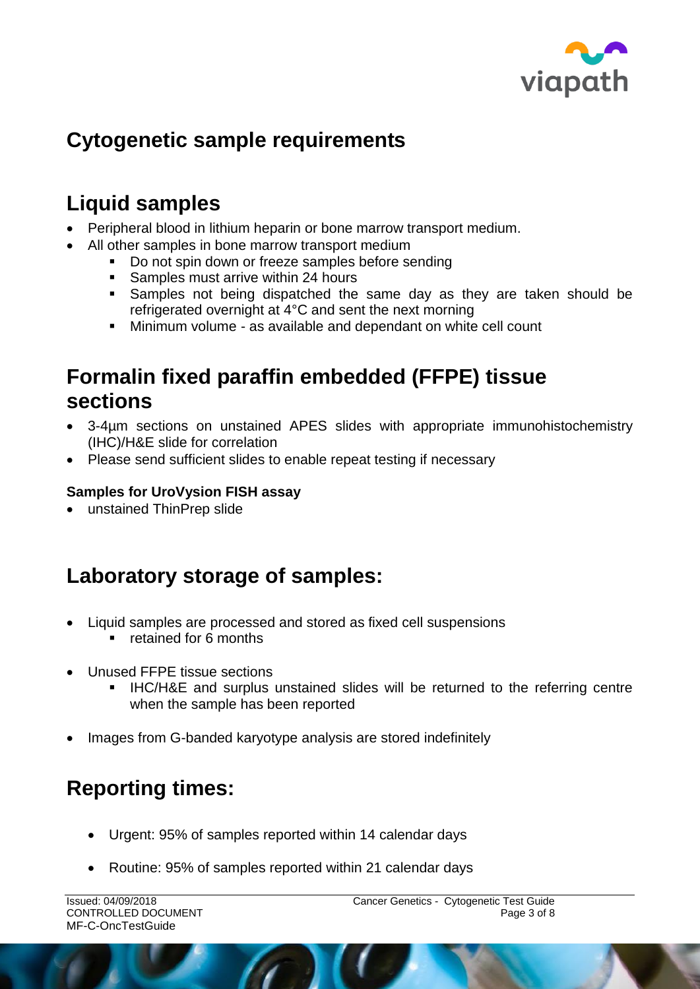

# <span id="page-2-0"></span>**Cytogenetic sample requirements**

# <span id="page-2-1"></span>**Liquid samples**

- Peripheral blood in lithium heparin or bone marrow transport medium.
- All other samples in bone marrow transport medium
	- Do not spin down or freeze samples before sending
	- Samples must arrive within 24 hours
	- Samples not being dispatched the same day as they are taken should be refrigerated overnight at 4°C and sent the next morning
	- Minimum volume as available and dependant on white cell count

### <span id="page-2-2"></span>**Formalin fixed paraffin embedded (FFPE) tissue sections**

- 3-4µm sections on unstained APES slides with appropriate immunohistochemistry (IHC)/H&E slide for correlation
- Please send sufficient slides to enable repeat testing if necessary

#### **Samples for UroVysion FISH assay**

unstained ThinPrep slide

# <span id="page-2-3"></span>**Laboratory storage of samples:**

- Liquid samples are processed and stored as fixed cell suspensions
	- **F** retained for 6 months
- Unused FFPE tissue sections
	- **IHC/H&E** and surplus unstained slides will be returned to the referring centre when the sample has been reported
- Images from G-banded karyotype analysis are stored indefinitely

# <span id="page-2-4"></span>**Reporting times:**

- Urgent: 95% of samples reported within 14 calendar days
- Routine: 95% of samples reported within 21 calendar days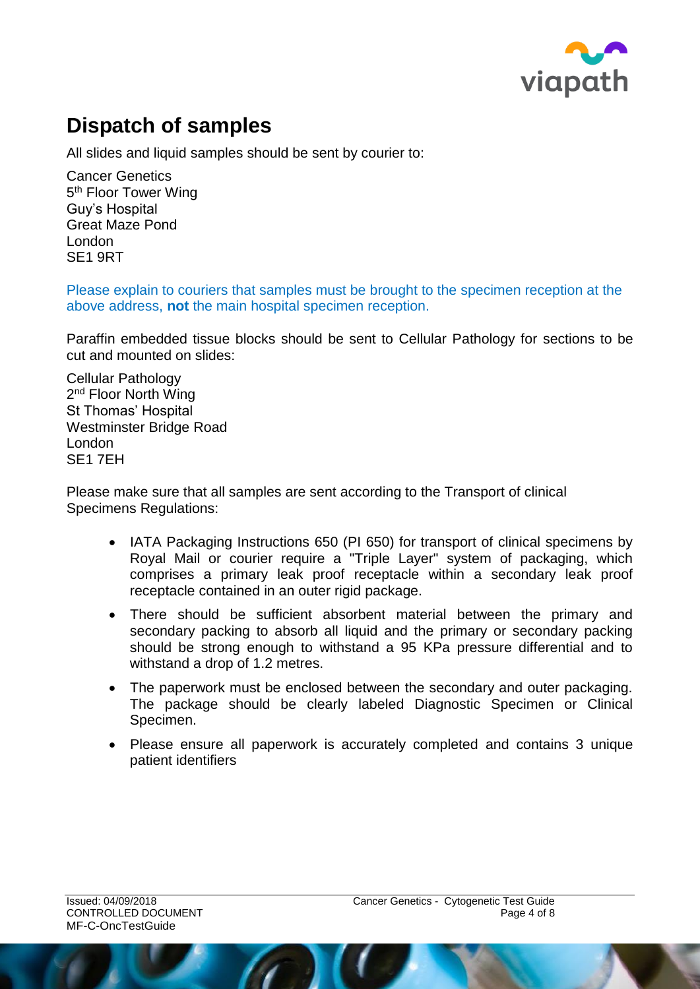

# <span id="page-3-0"></span>**Dispatch of samples**

All slides and liquid samples should be sent by courier to:

Cancer Genetics 5<sup>th</sup> Floor Tower Wing Guy's Hospital Great Maze Pond London SE1 9RT

Please explain to couriers that samples must be brought to the specimen reception at the above address, **not** the main hospital specimen reception.

Paraffin embedded tissue blocks should be sent to Cellular Pathology for sections to be cut and mounted on slides:

Cellular Pathology 2<sup>nd</sup> Floor North Wing St Thomas' Hospital Westminster Bridge Road London SE1 7EH

Please make sure that all samples are sent according to the Transport of clinical Specimens Regulations:

- IATA Packaging Instructions 650 (PI 650) for transport of clinical specimens by Royal Mail or courier require a "Triple Layer" system of packaging, which comprises a primary leak proof receptacle within a secondary leak proof receptacle contained in an outer rigid package.
- There should be sufficient absorbent material between the primary and secondary packing to absorb all liquid and the primary or secondary packing should be strong enough to withstand a 95 KPa pressure differential and to withstand a drop of 1.2 metres.
- The paperwork must be enclosed between the secondary and outer packaging. The package should be clearly labeled Diagnostic Specimen or Clinical Specimen.
- Please ensure all paperwork is accurately completed and contains 3 unique patient identifiers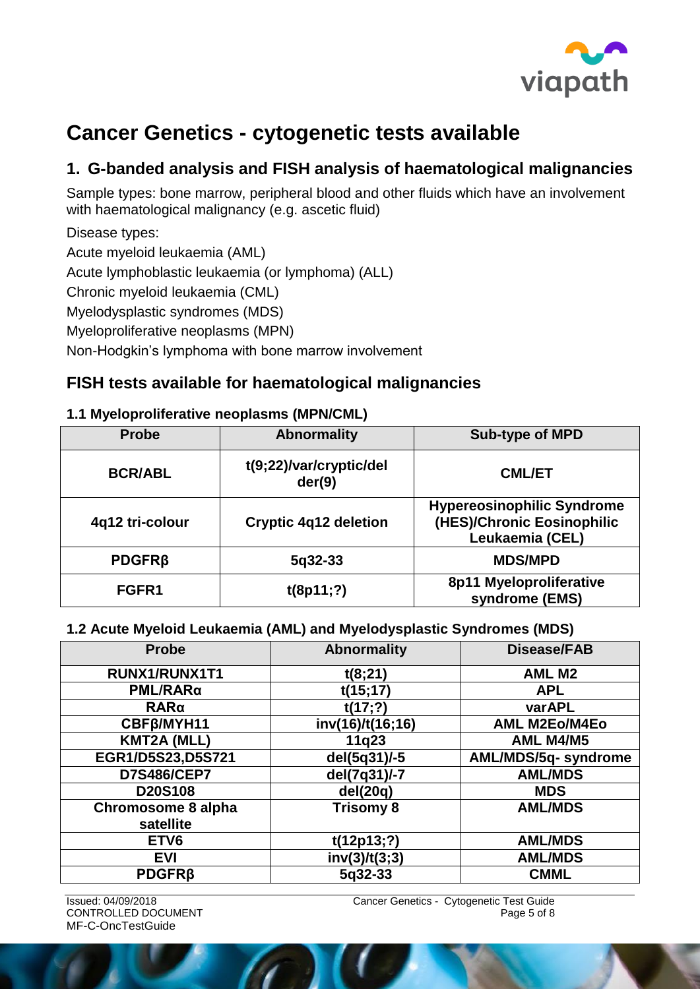

# <span id="page-4-0"></span>**Cancer Genetics - cytogenetic tests available**

### <span id="page-4-1"></span>**1. G-banded analysis and FISH analysis of haematological malignancies**

Sample types: bone marrow, peripheral blood and other fluids which have an involvement with haematological malignancy (e.g. ascetic fluid)

Disease types: Acute myeloid leukaemia (AML) Acute lymphoblastic leukaemia (or lymphoma) (ALL) Chronic myeloid leukaemia (CML) Myelodysplastic syndromes (MDS) Myeloproliferative neoplasms (MPN) Non-Hodgkin's lymphoma with bone marrow involvement

### <span id="page-4-2"></span>**FISH tests available for haematological malignancies**

#### <span id="page-4-3"></span>**1.1 Myeloproliferative neoplasms (MPN/CML)**

| <b>Probe</b>    | <b>Abnormality</b>                | <b>Sub-type of MPD</b>                                                             |
|-----------------|-----------------------------------|------------------------------------------------------------------------------------|
| <b>BCR/ABL</b>  | t(9;22)/var/cryptic/del<br>der(9) | <b>CML/ET</b>                                                                      |
| 4q12 tri-colour | <b>Cryptic 4q12 deletion</b>      | <b>Hypereosinophilic Syndrome</b><br>(HES)/Chronic Eosinophilic<br>Leukaemia (CEL) |
| $PDGFR\beta$    | $5q32-33$                         | <b>MDS/MPD</b>                                                                     |
| FGFR1           | t(8p11;?)                         | 8p11 Myeloproliferative<br>syndrome (EMS)                                          |

#### <span id="page-4-4"></span>**1.2 Acute Myeloid Leukaemia (AML) and Myelodysplastic Syndromes (MDS)**

| <b>Probe</b>                           | <b>Abnormality</b> | <b>Disease/FAB</b>   |
|----------------------------------------|--------------------|----------------------|
| RUNX1/RUNX1T1                          | t(8;21)            | <b>AML M2</b>        |
| PML/RARα                               | t(15;17)           | <b>APL</b>           |
| RARa                                   | t(17;?)            | varAPL               |
| CBF <sub>B</sub> /MYH11                | inv(16)/t(16;16)   | <b>AML M2Eo/M4Eo</b> |
| <b>KMT2A (MLL)</b>                     | 11q23              | AML M4/M5            |
| EGR1/D5S23,D5S721                      | del(5q31)/-5       | AML/MDS/5q- syndrome |
| <b>D7S486/CEP7</b>                     | del(7q31)/-7       | <b>AML/MDS</b>       |
| D20S108                                | del(20q)           | <b>MDS</b>           |
| <b>Chromosome 8 alpha</b><br>satellite | <b>Trisomy 8</b>   | <b>AML/MDS</b>       |
|                                        |                    |                      |
| ETV <sub>6</sub>                       | t(12p13;?)         | <b>AML/MDS</b>       |
| <b>EVI</b>                             | inv(3)/t(3,3)      | <b>AML/MDS</b>       |
| <b>PDGFRß</b>                          | 5q32-33            | <b>CMML</b>          |

MF-C-OncTestGuide

Issued: 04/09/2018 Cancer Genetics - Cytogenetic Test Guide CONTROLLED DOCUMENT **Page 5 of 8**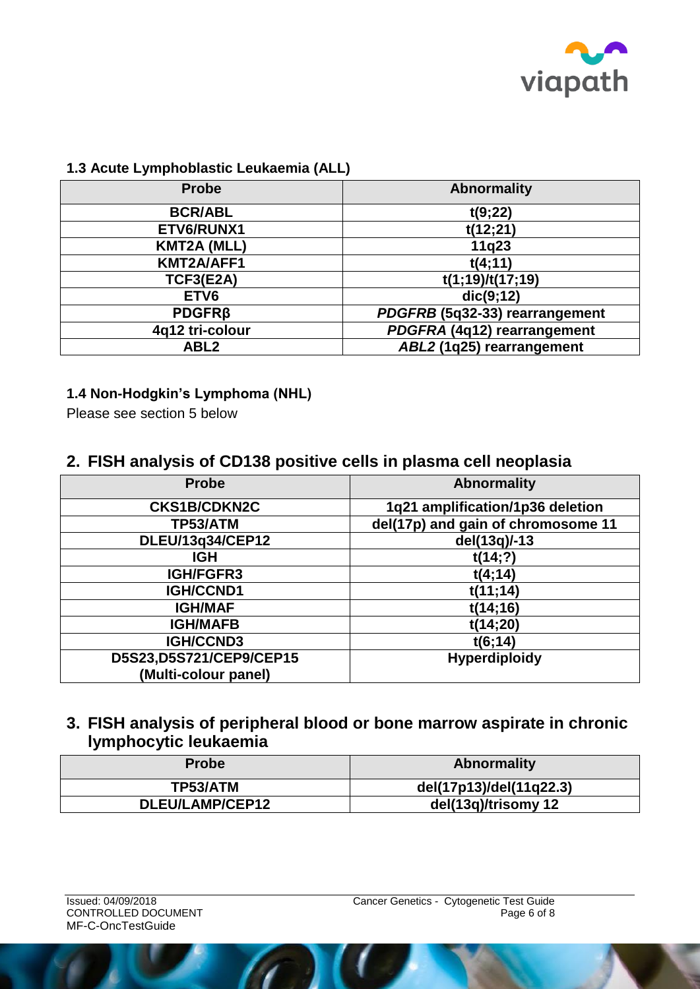

#### <span id="page-5-0"></span>**1.3 Acute Lymphoblastic Leukaemia (ALL)**

| <b>Probe</b>       | <b>Abnormality</b>             |
|--------------------|--------------------------------|
| <b>BCR/ABL</b>     | t(9;22)                        |
| ETV6/RUNX1         | t(12;21)                       |
| <b>KMT2A (MLL)</b> | 11q23                          |
| KMT2A/AFF1         | t(4;11)                        |
| TCF3(E2A)          | t(1;19)/t(17;19)               |
| ETV <sub>6</sub>   | dic(9;12)                      |
| <b>PDGFRß</b>      | PDGFRB (5q32-33) rearrangement |
| 4q12 tri-colour    | PDGFRA (4q12) rearrangement    |
| ABL <sub>2</sub>   | ABL2 (1q25) rearrangement      |

#### <span id="page-5-1"></span>**1.4 Non-Hodgkin's Lymphoma (NHL)**

Please see section 5 below

#### <span id="page-5-2"></span>**2. FISH analysis of CD138 positive cells in plasma cell neoplasia**

| <b>Probe</b>            | <b>Abnormality</b>                 |
|-------------------------|------------------------------------|
| <b>CKS1B/CDKN2C</b>     | 1q21 amplification/1p36 deletion   |
| TP53/ATM                | del(17p) and gain of chromosome 11 |
| DLEU/13q34/CEP12        | del(13q)/-13                       |
| <b>IGH</b>              | t(14;?)                            |
| <b>IGH/FGFR3</b>        | t(4;14)                            |
| IGH/CCND1               | t(11;14)                           |
| <b>IGH/MAF</b>          | t(14;16)                           |
| <b>IGH/MAFB</b>         | t(14;20)                           |
| <b>IGH/CCND3</b>        | t(6;14)                            |
| D5S23,D5S721/CEP9/CEP15 | <b>Hyperdiploidy</b>               |
| (Multi-colour panel)    |                                    |

#### <span id="page-5-3"></span>**3. FISH analysis of peripheral blood or bone marrow aspirate in chronic lymphocytic leukaemia**

| <b>Probe</b>    | <b>Abnormality</b>      |
|-----------------|-------------------------|
| TP53/ATM        | del(17p13)/del(11q22.3) |
| DLEU/LAMP/CEP12 | del(13q)/trisomy 12     |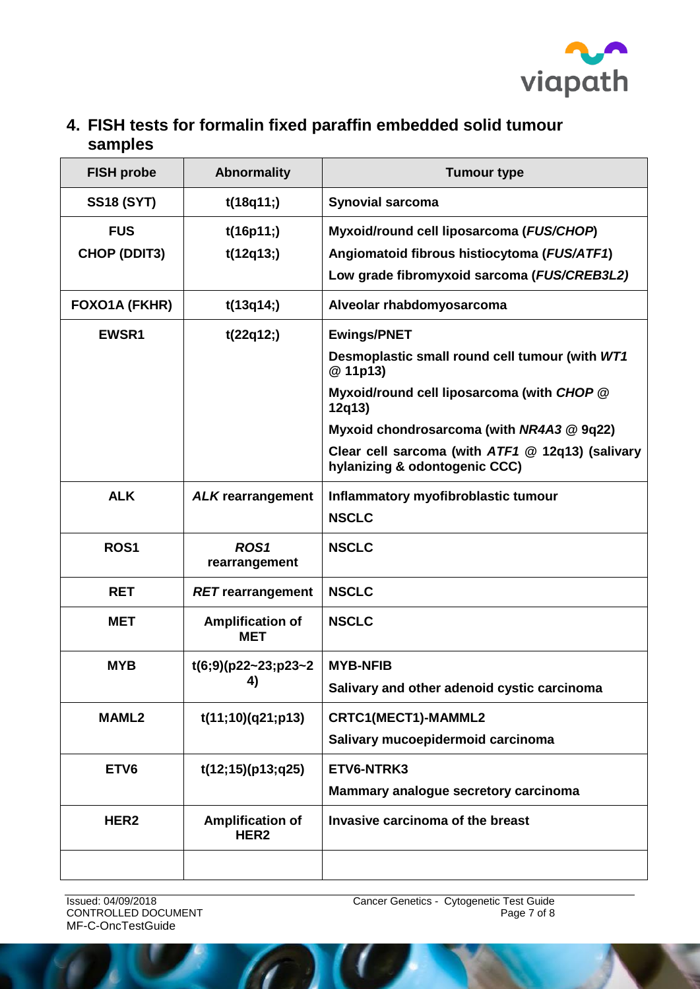

### <span id="page-6-0"></span>**4. FISH tests for formalin fixed paraffin embedded solid tumour samples**

| <b>FISH probe</b>                 | <b>Abnormality</b>                          | <b>Tumour type</b>                                                                                                                       |
|-----------------------------------|---------------------------------------------|------------------------------------------------------------------------------------------------------------------------------------------|
| <b>SS18 (SYT)</b>                 | t(18q11)                                    | <b>Synovial sarcoma</b>                                                                                                                  |
| <b>FUS</b><br><b>CHOP (DDIT3)</b> | t(16p11)<br>t(12q13)                        | Myxoid/round cell liposarcoma (FUS/CHOP)<br>Angiomatoid fibrous histiocytoma (FUS/ATF1)<br>Low grade fibromyxoid sarcoma (FUS/CREB3L2)   |
| FOXO1A (FKHR)                     | t(13q14)                                    | Alveolar rhabdomyosarcoma                                                                                                                |
| <b>EWSR1</b>                      | t(22q12)                                    | <b>Ewings/PNET</b><br>Desmoplastic small round cell tumour (with WT1<br>@ 11p13)<br>Myxoid/round cell liposarcoma (with CHOP @<br>12q13) |
|                                   |                                             | Myxoid chondrosarcoma (with NR4A3 @ 9q22)<br>Clear cell sarcoma (with ATF1 @ 12q13) (salivary<br>hylanizing & odontogenic CCC)           |
| <b>ALK</b>                        | <b>ALK rearrangement</b>                    | Inflammatory myofibroblastic tumour<br><b>NSCLC</b>                                                                                      |
| <b>ROS1</b>                       | ROS <sub>1</sub><br>rearrangement           | <b>NSCLC</b>                                                                                                                             |
| <b>RET</b>                        | <b>RET</b> rearrangement                    | <b>NSCLC</b>                                                                                                                             |
| <b>MET</b>                        | <b>Amplification of</b><br><b>MET</b>       | <b>NSCLC</b>                                                                                                                             |
| <b>MYB</b>                        | $t(6,9)(p22-23,p23-2)$<br>4)                | <b>MYB-NFIB</b><br>Salivary and other adenoid cystic carcinoma                                                                           |
| <b>MAML2</b>                      | t(11;10)(q21;p13)                           | CRTC1(MECT1)-MAMML2<br>Salivary mucoepidermoid carcinoma                                                                                 |
| ETV <sub>6</sub>                  | t(12;15)(p13;q25)                           | ETV6-NTRK3<br>Mammary analogue secretory carcinoma                                                                                       |
| HER <sub>2</sub>                  | <b>Amplification of</b><br>HER <sub>2</sub> | Invasive carcinoma of the breast                                                                                                         |
|                                   |                                             |                                                                                                                                          |

CONTROLLED DOCUMENT MF-C-OncTestGuide